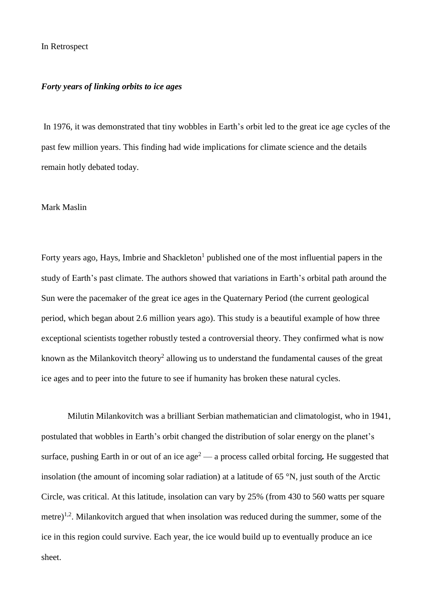## In Retrospect

## *Forty years of linking orbits to ice ages*

In 1976, it was demonstrated that tiny wobbles in Earth's orbit led to the great ice age cycles of the past few million years. This finding had wide implications for climate science and the details remain hotly debated today.

## Mark Maslin

Forty years ago, Hays, Imbrie and Shackleton<sup>1</sup> published one of the most influential papers in the study of Earth's past climate. The authors showed that variations in Earth's orbital path around the Sun were the pacemaker of the great ice ages in the Quaternary Period (the current geological period, which began about 2.6 million years ago). This study is a beautiful example of how three exceptional scientists together robustly tested a controversial theory. They confirmed what is now known as the Milankovitch theory<sup>2</sup> allowing us to understand the fundamental causes of the great ice ages and to peer into the future to see if humanity has broken these natural cycles.

Milutin Milankovitch was a brilliant Serbian mathematician and climatologist, who in 1941, postulated that wobbles in Earth's orbit changed the distribution of solar energy on the planet's surface, pushing Earth in or out of an ice age<sup>2</sup> — a process called orbital forcing. He suggested that insolation (the amount of incoming solar radiation) at a latitude of 65 °N, just south of the Arctic Circle, was critical. At this latitude, insolation can vary by 25% (from 430 to 560 watts per square metre)<sup>1,2</sup>. Milankovitch argued that when insolation was reduced during the summer, some of the ice in this region could survive. Each year, the ice would build up to eventually produce an ice sheet.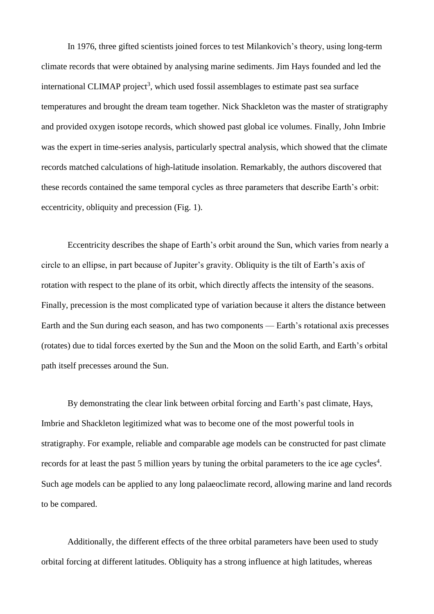In 1976, three gifted scientists joined forces to test Milankovich's theory, using long-term climate records that were obtained by analysing marine sediments. Jim Hays founded and led the international CLIMAP project<sup>3</sup>, which used fossil assemblages to estimate past sea surface temperatures and brought the dream team together. Nick Shackleton was the master of stratigraphy and provided oxygen isotope records, which showed past global ice volumes. Finally, John Imbrie was the expert in time-series analysis, particularly spectral analysis, which showed that the climate records matched calculations of high-latitude insolation. Remarkably, the authors discovered that these records contained the same temporal cycles as three parameters that describe Earth's orbit: eccentricity, obliquity and precession (Fig. 1).

Eccentricity describes the shape of Earth's orbit around the Sun, which varies from nearly a circle to an ellipse, in part because of Jupiter's gravity. Obliquity is the tilt of Earth's axis of rotation with respect to the plane of its orbit, which directly affects the intensity of the seasons. Finally, precession is the most complicated type of variation because it alters the distance between Earth and the Sun during each season, and has two components — Earth's rotational axis precesses (rotates) due to tidal forces exerted by the Sun and the Moon on the solid Earth, and Earth's orbital path itself precesses around the Sun.

By demonstrating the clear link between orbital forcing and Earth's past climate, Hays, Imbrie and Shackleton legitimized what was to become one of the most powerful tools in stratigraphy. For example, reliable and comparable age models can be constructed for past climate records for at least the past 5 million years by tuning the orbital parameters to the ice age cycles<sup>4</sup>. Such age models can be applied to any long palaeoclimate record, allowing marine and land records to be compared.

Additionally, the different effects of the three orbital parameters have been used to study orbital forcing at different latitudes. Obliquity has a strong influence at high latitudes, whereas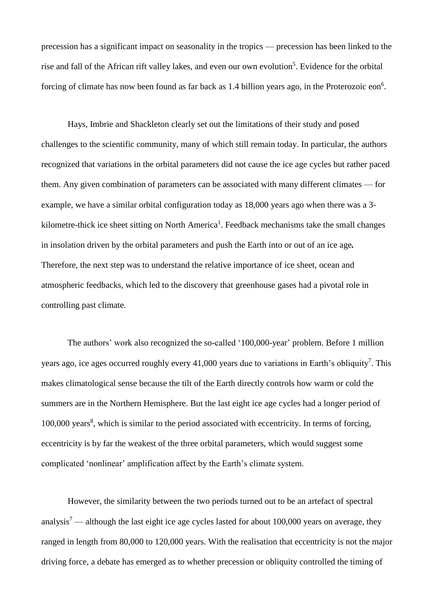precession has a significant impact on seasonality in the tropics — precession has been linked to the rise and fall of the African rift valley lakes, and even our own evolution<sup>5</sup>. Evidence for the orbital forcing of climate has now been found as far back as  $1.4$  billion years ago, in the Proterozoic eon<sup>6</sup>.

Hays, Imbrie and Shackleton clearly set out the limitations of their study and posed challenges to the scientific community, many of which still remain today. In particular, the authors recognized that variations in the orbital parameters did not cause the ice age cycles but rather paced them. Any given combination of parameters can be associated with many different climates — for example, we have a similar orbital configuration today as 18,000 years ago when there was a 3 kilometre-thick ice sheet sitting on North America<sup>1</sup>. Feedback mechanisms take the small changes in insolation driven by the orbital parameters and push the Earth into or out of an ice age*.*  Therefore, the next step was to understand the relative importance of ice sheet, ocean and atmospheric feedbacks, which led to the discovery that greenhouse gases had a pivotal role in controlling past climate.

The authors' work also recognized the so-called '100,000-year' problem. Before 1 million years ago, ice ages occurred roughly every 41,000 years due to variations in Earth's obliquity<sup>7</sup>. This makes climatological sense because the tilt of the Earth directly controls how warm or cold the summers are in the Northern Hemisphere. But the last eight ice age cycles had a longer period of 100,000 years<sup>8</sup>, which is similar to the period associated with eccentricity. In terms of forcing, eccentricity is by far the weakest of the three orbital parameters, which would suggest some complicated 'nonlinear' amplification affect by the Earth's climate system.

However, the similarity between the two periods turned out to be an artefact of spectral analysis<sup>7</sup> — although the last eight ice age cycles lasted for about 100,000 years on average, they ranged in length from 80,000 to 120,000 years. With the realisation that eccentricity is not the major driving force, a debate has emerged as to whether precession or obliquity controlled the timing of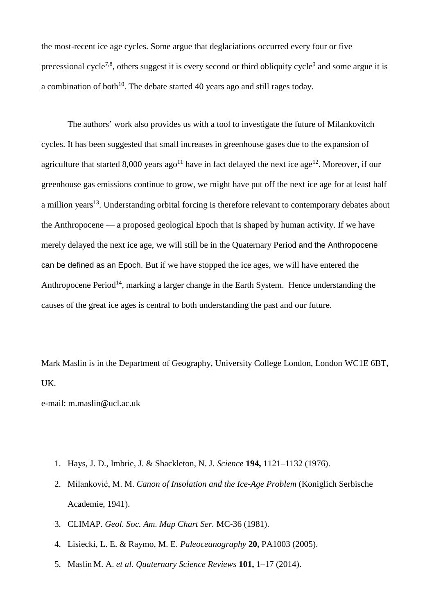the most-recent ice age cycles. Some argue that deglaciations occurred every four or five precessional cycle<sup>7,8</sup>, others suggest it is every second or third obliquity cycle<sup>9</sup> and some argue it is a combination of both<sup>10</sup>. The debate started 40 years ago and still rages today.

The authors' work also provides us with a tool to investigate the future of Milankovitch cycles. It has been suggested that small increases in greenhouse gases due to the expansion of agriculture that started 8,000 years ago<sup>11</sup> have in fact delayed the next ice age<sup>12</sup>. Moreover, if our greenhouse gas emissions continue to grow, we might have put off the next ice age for at least half a million years<sup>13</sup>. Understanding orbital forcing is therefore relevant to contemporary debates about the Anthropocene — a proposed geological Epoch that is shaped by human activity. If we have merely delayed the next ice age, we will still be in the Quaternary Period and the Anthropocene can be defined as an Epoch. But if we have stopped the ice ages, we will have entered the Anthropocene Period<sup>14</sup>, marking a larger change in the Earth System. Hence understanding the causes of the great ice ages is central to both understanding the past and our future.

Mark Maslin is in the Department of Geography, University College London, London WC1E 6BT, UK.

e-mail: m.maslin@ucl.ac.uk

- 1. Hays, J. D., Imbrie, J. & Shackleton, N. J. *Science* **194,** 1121–1132 (1976).
- 2. Milanković, M. M. *Canon of Insolation and the Ice-Age Problem* (Koniglich Serbische Academie, 1941).
- 3. CLIMAP. *Geol. Soc. Am. Map Chart Ser.* MC-36 (1981).
- 4. Lisiecki, L. E. & Raymo, M. E. *Paleoceanography* **20,** PA1003 (2005).
- 5. Maslin M. A. *et al. Quaternary Science Reviews* **101,** 1–17 (2014).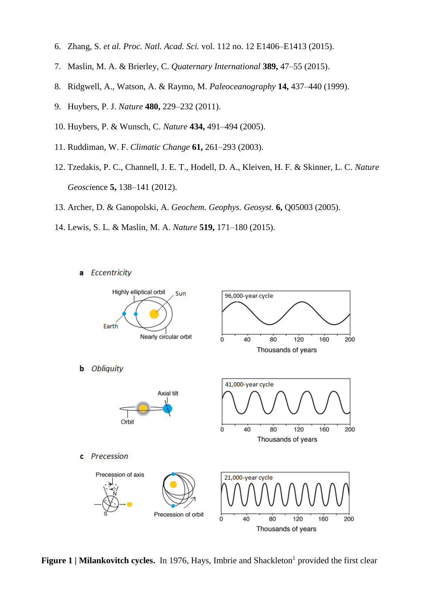- 6. Zhang, S. *et al. Proc. Natl. Acad. Sci.* vol. 112 no. 12 E1406–E1413 (2015).
- 7. Maslin, M. A. & Brierley, C. *Quaternary International* **389,** 47–55 (2015).
- 8. Ridgwell, A., Watson, A. & Raymo, M. *Paleoceanography* **14,** 437–440 (1999).
- 9. Huybers, P. J. *Nature* **480,** 229–232 (2011).
- 10. Huybers, P. & Wunsch, C. *Nature* **434,** 491–494 (2005).
- 11. Ruddiman, W. F. *Climatic Change* **61,** 261–293 (2003).
- 12. Tzedakis, P. C., Channell, J. E. T., Hodell, D. A., Kleiven, H. F. & Skinner, L. C. *Nature Geosci*ence **5,** 138–141 (2012).
- 13. Archer, D. & Ganopolski, A. *Geochem. Geophys. Geosyst.* **6,** Q05003 (2005).
- 14. Lewis, S. L. & Maslin, M. A. *Nature* **519,** 171–180 (2015).
	- **Eccentricity** a



**Figure 1** | Milankovitch cycles. In 1976, Hays, Imbrie and Shackleton<sup>1</sup> provided the first clear